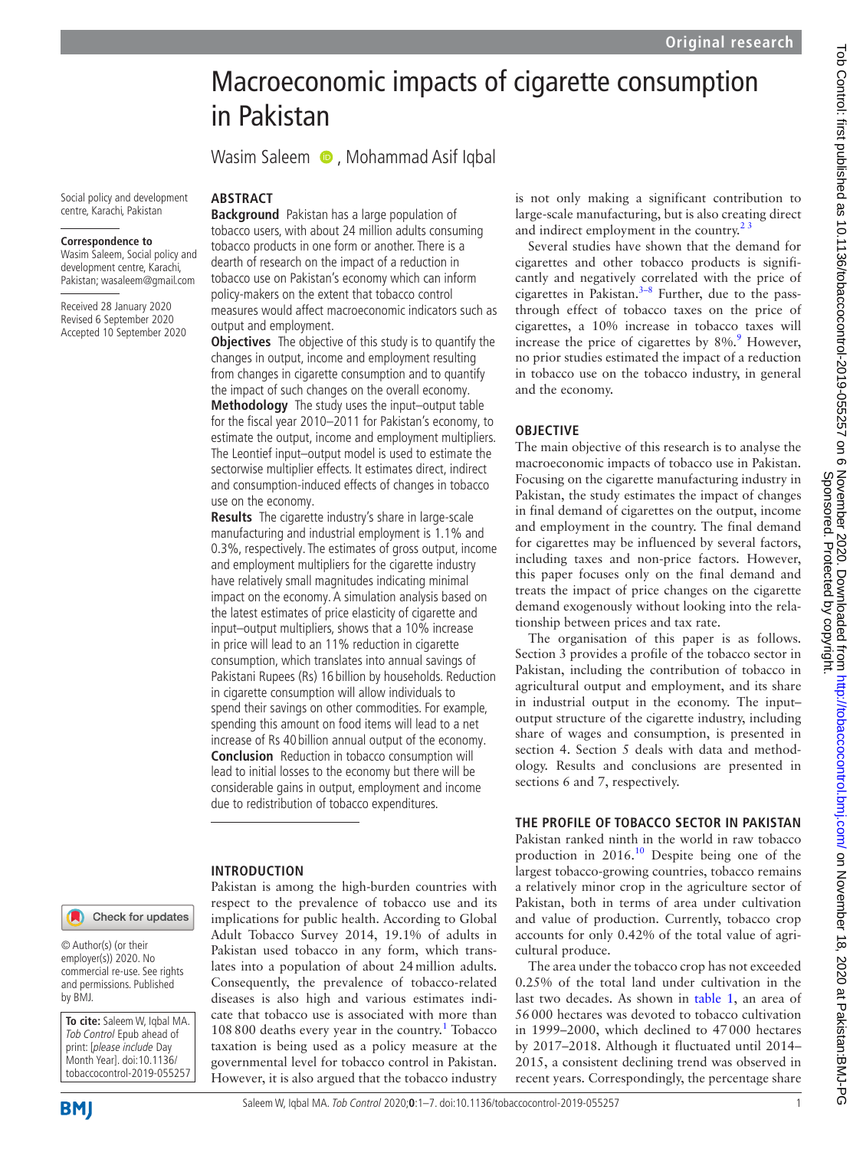# Macroeconomic impacts of cigarette consumption in Pakistan

WasimSaleem **D**, Mohammad Asif Iqbal

Social policy and development centre, Karachi, Pakistan

#### **Correspondence to**

Wasim Saleem, Social policy and development centre, Karachi, Pakistan; wasaleem@gmail.com

Received 28 January 2020 Revised 6 September 2020 Accepted 10 September 2020

# **ABSTRACT**

**Background** Pakistan has a large population of tobacco users, with about 24 million adults consuming tobacco products in one form or another. There is a dearth of research on the impact of a reduction in tobacco use on Pakistan's economy which can inform policy-makers on the extent that tobacco control measures would affect macroeconomic indicators such as output and employment.

**Objectives** The objective of this study is to quantify the changes in output, income and employment resulting from changes in cigarette consumption and to quantify the impact of such changes on the overall economy. **Methodology** The study uses the input–output table for the fiscal year 2010–2011 for Pakistan's economy, to estimate the output, income and employment multipliers. The Leontief input–output model is used to estimate the sectorwise multiplier effects. It estimates direct, indirect and consumption-induced effects of changes in tobacco use on the economy.

**Results** The cigarette industry's share in large-scale manufacturing and industrial employment is 1.1% and 0.3%, respectively. The estimates of gross output, income and employment multipliers for the cigarette industry have relatively small magnitudes indicating minimal impact on the economy. A simulation analysis based on the latest estimates of price elasticity of cigarette and input–output multipliers, shows that a 10% increase in price will lead to an 11% reduction in cigarette consumption, which translates into annual savings of Pakistani Rupees (Rs) 16 billion by households. Reduction in cigarette consumption will allow individuals to spend their savings on other commodities. For example, spending this amount on food items will lead to a net increase of Rs 40 billion annual output of the economy. **Conclusion** Reduction in tobacco consumption will lead to initial losses to the economy but there will be considerable gains in output, employment and income due to redistribution of tobacco expenditures.

#### **INTRODUCTION**

Pakistan is among the high-burden countries with respect to the prevalence of tobacco use and its implications for public health. According to Global Adult Tobacco Survey 2014, 19.1% of adults in Pakistan used tobacco in any form, which translates into a population of about 24million adults. Consequently, the prevalence of tobacco-related diseases is also high and various estimates indicate that tobacco use is associated with more than [1](#page-5-0)08 800 deaths every year in the country.<sup>1</sup> Tobacco taxation is being used as a policy measure at the governmental level for tobacco control in Pakistan. However, it is also argued that the tobacco industry

is not only making a significant contribution to large-scale manufacturing, but is also creating direct and indirect employment in the country.<sup>23</sup>

Several studies have shown that the demand for cigarettes and other tobacco products is significantly and negatively correlated with the price of cigarettes in Pakistan. $3-8$  Further, due to the passthrough effect of tobacco taxes on the price of cigarettes, a 10% increase in tobacco taxes will increase the price of cigarettes by  $8\%$ . However, no prior studies estimated the impact of a reduction in tobacco use on the tobacco industry, in general and the economy.

# **OBJECTIVE**

The main objective of this research is to analyse the macroeconomic impacts of tobacco use in Pakistan. Focusing on the cigarette manufacturing industry in Pakistan, the study estimates the impact of changes in final demand of cigarettes on the output, income and employment in the country. The final demand for cigarettes may be influenced by several factors, including taxes and non-price factors. However, this paper focuses only on the final demand and treats the impact of price changes on the cigarette demand exogenously without looking into the relationship between prices and tax rate.

The organisation of this paper is as follows. Section 3 provides a profile of the tobacco sector in Pakistan, including the contribution of tobacco in agricultural output and employment, and its share in industrial output in the economy. The input– output structure of the cigarette industry, including share of wages and consumption, is presented in section 4. Section 5 deals with data and methodology. Results and conclusions are presented in sections 6 and 7, respectively.

# **THE PROFILE OF TOBACCO SECTOR IN PAKISTAN**

Pakistan ranked ninth in the world in raw tobacco production in 2016.<sup>10</sup> Despite being one of the largest tobacco-growing countries, tobacco remains a relatively minor crop in the agriculture sector of Pakistan, both in terms of area under cultivation and value of production. Currently, tobacco crop accounts for only 0.42% of the total value of agricultural produce.

The area under the tobacco crop has not exceeded 0.25% of the total land under cultivation in the last two decades. As shown in [table](#page-1-0) 1, an area of 56000 hectares was devoted to tobacco cultivation in 1999–2000, which declined to 47000 hectares by 2017–2018. Although it fluctuated until 2014– 2015, a consistent declining trend was observed in recent years. Correspondingly, the percentage share

#### Check for updates

© Author(s) (or their employer(s)) 2020. No commercial re-use. See rights and permissions. Published by BMJ.

**To cite:** Saleem W, Iqbal MA. Tob Control Epub ahead of print: [please include Day Month Year]. doi:10.1136/ tobaccocontrol-2019-055257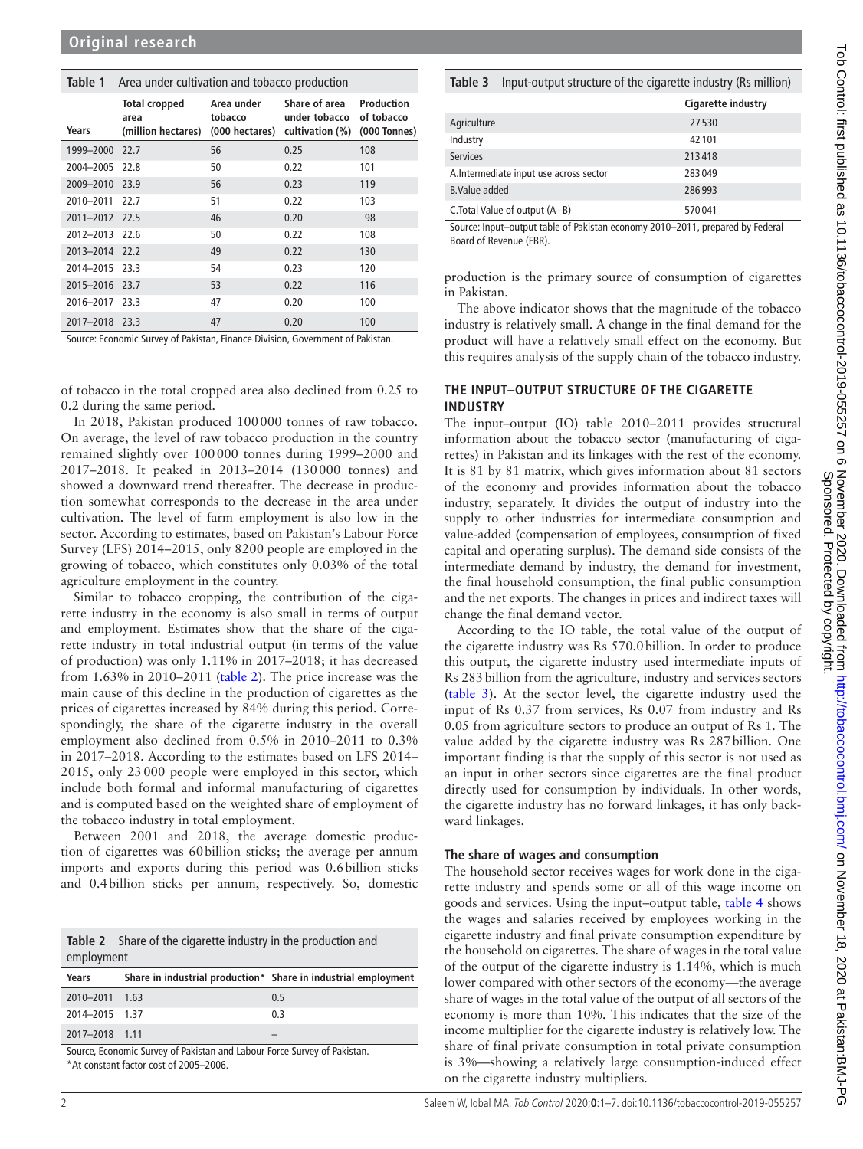# <span id="page-1-0"></span>**Table 1** Area under cultivation and tobacco production

| Years          | <b>Total cropped</b><br>area<br>(million hectares) | Area under<br>tobacco<br>(000 hectares) | Share of area<br>under tobacco<br>cultivation (%) | Production<br>of tobacco<br>(000 Tonnes) |
|----------------|----------------------------------------------------|-----------------------------------------|---------------------------------------------------|------------------------------------------|
| 1999-2000 22.7 |                                                    | 56                                      | 0.25                                              | 108                                      |
| 2004-2005 22.8 |                                                    | 50                                      | 0.22                                              | 101                                      |
| 2009-2010 23.9 |                                                    | 56                                      | 0.23                                              | 119                                      |
| 2010-2011      | 22.7                                               | 51                                      | 0.22                                              | 103                                      |
| 2011-2012 22.5 |                                                    | 46                                      | 0.20                                              | 98                                       |
| 2012-2013 22.6 |                                                    | 50                                      | 0.22                                              | 108                                      |
| 2013-2014 22.2 |                                                    | 49                                      | 0.22                                              | 130                                      |
| 2014-2015 23.3 |                                                    | 54                                      | 0.23                                              | 120                                      |
| 2015-2016 23.7 |                                                    | 53                                      | 0.22                                              | 116                                      |
| 2016-2017 23.3 |                                                    | 47                                      | 0.20                                              | 100                                      |
| 2017-2018 23.3 |                                                    | 47                                      | 0.20                                              | 100                                      |

Source: Economic Survey of Pakistan, Finance Division, Government of Pakistan.

of tobacco in the total cropped area also declined from 0.25 to 0.2 during the same period.

In 2018, Pakistan produced 100000 tonnes of raw tobacco. On average, the level of raw tobacco production in the country remained slightly over 100000 tonnes during 1999–2000 and 2017–2018. It peaked in 2013–2014 (130000 tonnes) and showed a downward trend thereafter. The decrease in production somewhat corresponds to the decrease in the area under cultivation. The level of farm employment is also low in the sector. According to estimates, based on Pakistan's Labour Force Survey (LFS) 2014–2015, only 8200 people are employed in the growing of tobacco, which constitutes only 0.03% of the total agriculture employment in the country.

Similar to tobacco cropping, the contribution of the cigarette industry in the economy is also small in terms of output and employment. Estimates show that the share of the cigarette industry in total industrial output (in terms of the value of production) was only 1.11% in 2017–2018; it has decreased from 1.63% in 2010–2011 [\(table](#page-1-1) 2). The price increase was the main cause of this decline in the production of cigarettes as the prices of cigarettes increased by 84% during this period. Correspondingly, the share of the cigarette industry in the overall employment also declined from 0.5% in 2010–2011 to 0.3% in 2017–2018. According to the estimates based on LFS 2014– 2015, only 23000 people were employed in this sector, which include both formal and informal manufacturing of cigarettes and is computed based on the weighted share of employment of the tobacco industry in total employment.

Between 2001 and 2018, the average domestic production of cigarettes was 60billion sticks; the average per annum imports and exports during this period was 0.6billion sticks and 0.4billion sticks per annum, respectively. So, domestic

<span id="page-1-1"></span>

|            | <b>Table 2</b> Share of the cigarette industry in the production and |
|------------|----------------------------------------------------------------------|
| employment |                                                                      |

| Years          |        | Share in industrial production* Share in industrial employment |
|----------------|--------|----------------------------------------------------------------|
| 2010-2011 1.63 |        | 0.5                                                            |
| 2014-2015 1.37 |        | 0.3                                                            |
| 2017-2018 1.11 |        |                                                                |
|                | .<br>. | .                                                              |

Source, Economic Survey of Pakistan and Labour Force Survey of Pakistan. \*At constant factor cost of 2005–2006.

# <span id="page-1-2"></span>**Table 3** Input-output structure of the cigarette industry (Rs million)

|                                        | Cigarette industry |
|----------------------------------------|--------------------|
| Agriculture                            | 27530              |
| Industry                               | 42 101             |
| <b>Services</b>                        | 213418             |
| A.Intermediate input use across sector | 283049             |
| <b>B.Value added</b>                   | 286993             |
| C. Total Value of output $(A+B)$       | 570041             |

Source: Input–output table of Pakistan economy 2010–2011, prepared by Federal Board of Revenue (FBR).

production is the primary source of consumption of cigarettes in Pakistan.

The above indicator shows that the magnitude of the tobacco industry is relatively small. A change in the final demand for the product will have a relatively small effect on the economy. But this requires analysis of the supply chain of the tobacco industry.

# **THE INPUT–OUTPUT STRUCTURE OF THE CIGARETTE INDUSTRY**

The input–output (IO) table 2010–2011 provides structural information about the tobacco sector (manufacturing of cigarettes) in Pakistan and its linkages with the rest of the economy. It is 81 by 81 matrix, which gives information about 81 sectors of the economy and provides information about the tobacco industry, separately. It divides the output of industry into the supply to other industries for intermediate consumption and value-added (compensation of employees, consumption of fixed capital and operating surplus). The demand side consists of the intermediate demand by industry, the demand for investment, the final household consumption, the final public consumption and the net exports. The changes in prices and indirect taxes will change the final demand vector.

According to the IO table, the total value of the output of the cigarette industry was Rs 570.0billion. In order to produce this output, the cigarette industry used intermediate inputs of Rs 283billion from the agriculture, industry and services sectors ([table](#page-1-2) 3). At the sector level, the cigarette industry used the input of Rs 0.37 from services, Rs 0.07 from industry and Rs 0.05 from agriculture sectors to produce an output of Rs 1. The value added by the cigarette industry was Rs 287billion. One important finding is that the supply of this sector is not used as an input in other sectors since cigarettes are the final product directly used for consumption by individuals. In other words, the cigarette industry has no forward linkages, it has only backward linkages.

#### **The share of wages and consumption**

The household sector receives wages for work done in the cigarette industry and spends some or all of this wage income on goods and services. Using the input–output table, [table](#page-2-0) 4 shows the wages and salaries received by employees working in the cigarette industry and final private consumption expenditure by the household on cigarettes. The share of wages in the total value of the output of the cigarette industry is 1.14%, which is much lower compared with other sectors of the economy—the average share of wages in the total value of the output of all sectors of the economy is more than 10%. This indicates that the size of the income multiplier for the cigarette industry is relatively low. The share of final private consumption in total private consumption is 3%—showing a relatively large consumption-induced effect on the cigarette industry multipliers.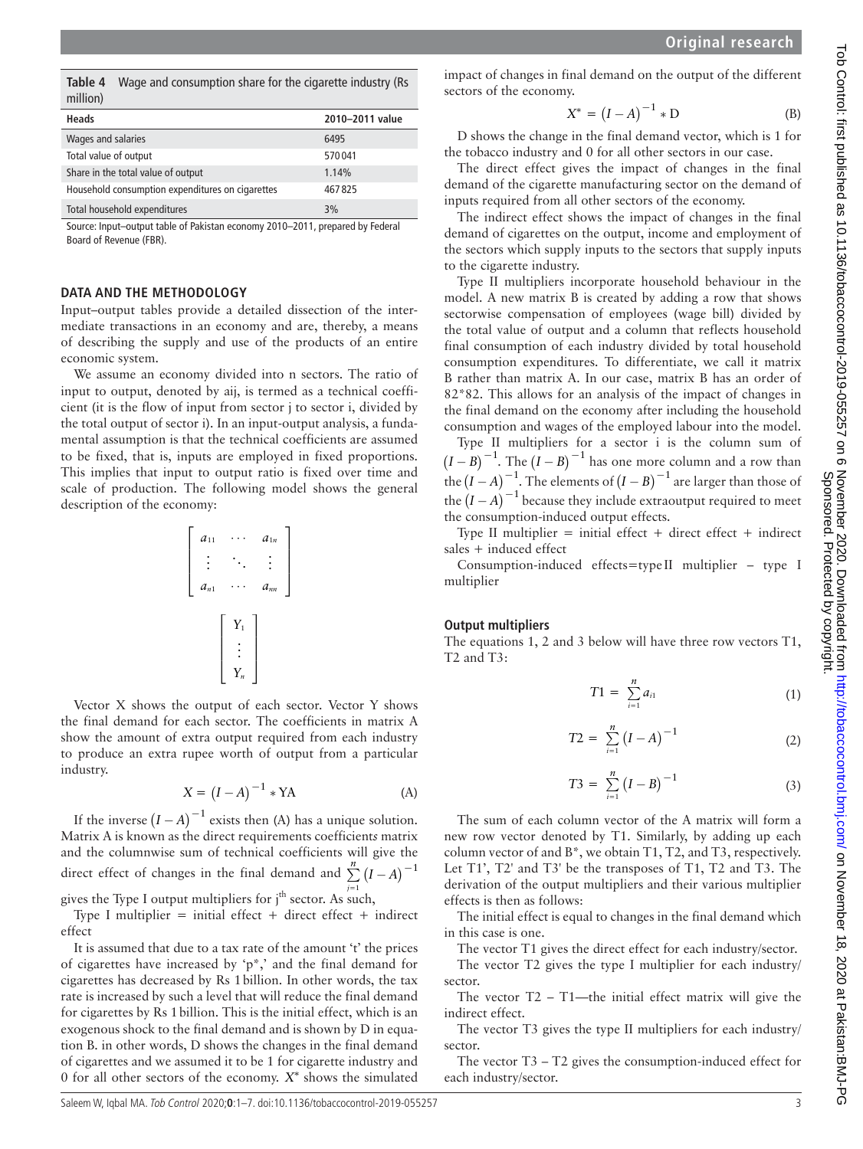<span id="page-2-0"></span>**Table 4** Wage and consumption share for the cigarette industry (Rs million)

| Heads                                            | 2010-2011 value |
|--------------------------------------------------|-----------------|
| Wages and salaries                               | 6495            |
| Total value of output                            | 570041          |
| Share in the total value of output               | 1.14%           |
| Household consumption expenditures on cigarettes | 467825          |
| Total household expenditures                     | 3%              |

Source: Input–output table of Pakistan economy 2010–2011, prepared by Federal Board of Revenue (FBR).

#### **DATA AND THE METHODOLOGY**

Input–output tables provide a detailed dissection of the intermediate transactions in an economy and are, thereby, a means of describing the supply and use of the products of an entire economic system.

We assume an economy divided into n sectors. The ratio of input to output, denoted by aij, is termed as a technical coefficient (it is the flow of input from sector j to sector i, divided by the total output of sector i). In an input-output analysis, a fundamental assumption is that the technical coefficients are assumed to be fixed, that is, inputs are employed in fixed proportions. This implies that input to output ratio is fixed over time and scale of production. The following model shows the general description of the economy:

$$
\left[\begin{array}{ccc} a_{11} & \cdots & a_{1n} \\ \vdots & \ddots & \vdots \\ a_{n1} & \cdots & a_{nn} \end{array}\right]
$$
\n
$$
\left[\begin{array}{c} Y_1 \\ \vdots \\ Y_n \end{array}\right]
$$

Vector X shows the output of each sector. Vector Y shows the final demand for each sector. The coefficients in matrix A show the amount of extra output required from each industry to produce an extra rupee worth of output from a particular industry.

$$
X = (I - A)^{-1} * YA
$$
 (A)

If the inverse  $(I - A)^{-1}$  exists then (A) has a unique solution. Matrix A is known as the direct requirements coefficient*s* matrix and the columnwise sum of technical coefficients will give the direct effect of changes in the final demand and  $\sum_{n=1}^{n} (I - A)^{-1}$ 

gives the Type I output multipliers for j<sup>th</sup> sector. As such,

Type I multiplier = initial effect + direct effect + indirect effect

It is assumed that due to a tax rate of the amount 't' the prices of cigarettes have increased by 'p<sup>\*</sup>,' and the final demand for cigarettes has decreased by Rs 1billion. In other words, the tax rate is increased by such a level that will reduce the final demand for cigarettes by Rs 1billion. This is the initial effect, which is an exogenous shock to the final demand and is shown by D in equation B. in other words, D shows the changes in the final demand of cigarettes and we assumed it to be 1 for cigarette industry and 0 for all other sectors of the economy. *X∗* shows the simulated

impact of changes in final demand on the output of the different sectors of the economy.

$$
X^* = (I - A)^{-1} * D
$$
 (B)

D shows the change in the final demand vector, which is 1 for the tobacco industry and 0 for all other sectors in our case.

The direct effect gives the impact of changes in the final demand of the cigarette manufacturing sector on the demand of inputs required from all other sectors of the economy.

The indirect effect shows the impact of changes in the final demand of cigarettes on the output, income and employment of the sectors which supply inputs to the sectors that supply inputs to the cigarette industry.

Type II multipliers incorporate household behaviour in the model. A new matrix B is created by adding a row that shows sectorwise compensation of employees (wage bill) divided by the total value of output and a column that reflects household final consumption of each industry divided by total household consumption expenditures. To differentiate, we call it matrix B rather than matrix A. In our case, matrix B has an order of 82\*82. This allows for an analysis of the impact of changes in the final demand on the economy after including the household consumption and wages of the employed labour into the model.

Type II multipliers for a sector i is the column sum of  $(I - B)^{-1}$ . The  $(I - B)^{-1}$  has one more column and a row than the  $(I - A)^{-1}$ . The elements of  $(I - B)^{-1}$  are larger than those of the  $(I - A)^{-1}$  because they include extraoutput required to meet the consumption-induced output effects.

Type II multiplier = initial effect + direct effect + indirect sales + induced effect

Consumption-induced effects=type II multiplier – type I multiplier

# **Output multipliers**

The equations 1, 2 and 3 below will have three row vectors T1, T2 and T3:

$$
T1 = \sum_{i=1}^{n} a_{i1}
$$
 (1)

$$
T2 = \sum_{i=1}^{n} (I - A)^{-1}
$$
 (2)

$$
T3 = \sum_{i=1}^{n} (I - B)^{-1}
$$
 (3)

The sum of each column vector of the A matrix will form a new row vector denoted by T1. Similarly, by adding up each column vector of and B\*, we obtain T1, T2, and T3, respectively. Let T1', T2' and T3' be the transposes of T1, T2 and T3. The derivation of the output multipliers and their various multiplier effects is then as follows:

The initial effect is equal to changes in the final demand which in this case is one.

The vector T1 gives the direct effect for each industry/sector. The vector T2 gives the type I multiplier for each industry/ sector.

The vector  $T2 - T1$ —the initial effect matrix will give the indirect effect.

The vector T3 gives the type II multipliers for each industry/ sector.

The vector T3 – T2 gives the consumption-induced effect for each industry/sector.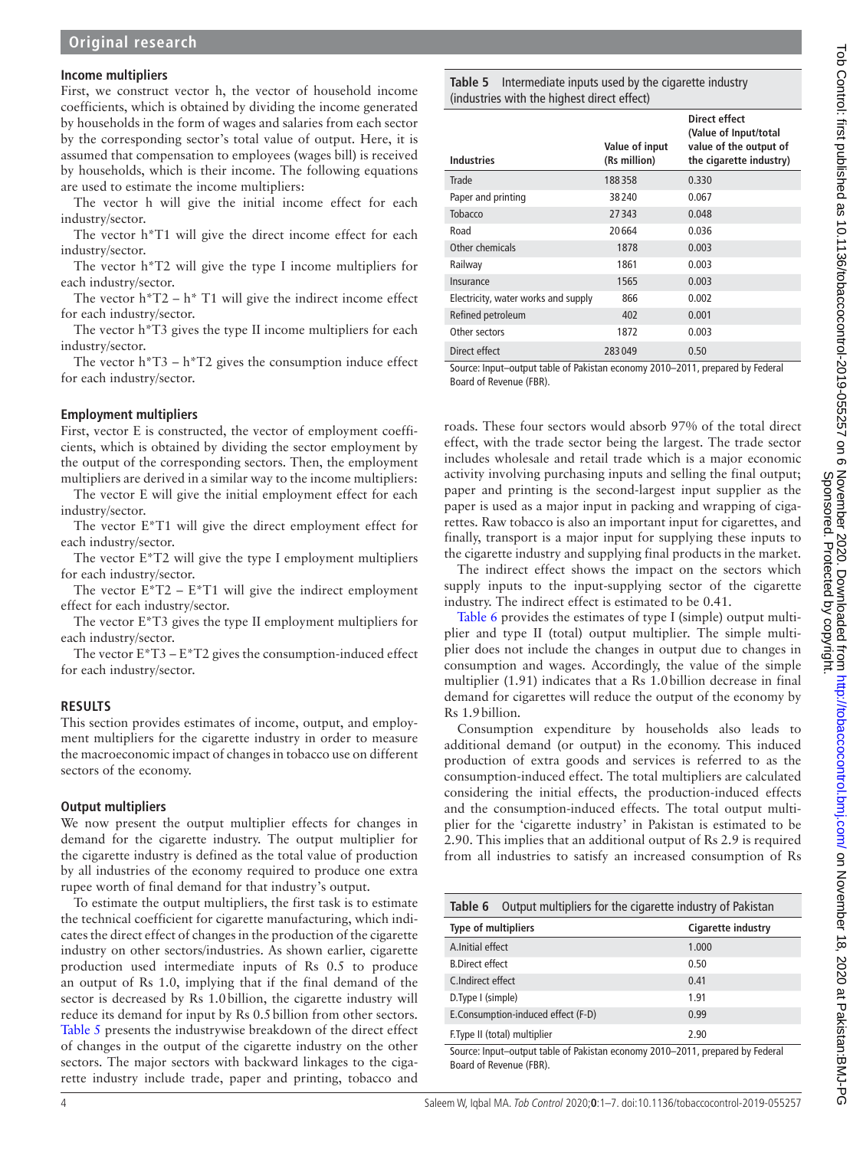#### **Income multipliers**

First, we construct vector h, the vector of household income coefficients, which is obtained by dividing the income generated by households in the form of wages and salaries from each sector by the corresponding sector's total value of output. Here, it is assumed that compensation to employees (wages bill) is received by households, which is their income. The following equations are used to estimate the income multipliers:

The vector h will give the initial income effect for each industry/sector.

The vector h\*T1 will give the direct income effect for each industry/sector.

The vector h\*T2 will give the type I income multipliers for each industry/sector.

The vector  $h^*T2 - h^*T1$  will give the indirect income effect for each industry/sector.

The vector h\*T3 gives the type II income multipliers for each industry/sector.

The vector  $h^*T3 - h^*T2$  gives the consumption induce effect for each industry/sector.

#### **Employment multipliers**

First, vector E is constructed, the vector of employment coefficients, which is obtained by dividing the sector employment by the output of the corresponding sectors. Then, the employment multipliers are derived in a similar way to the income multipliers:

The vector E will give the initial employment effect for each industry/sector.

The vector E\*T1 will give the direct employment effect for each industry/sector.

The vector E\*T2 will give the type I employment multipliers for each industry/sector.

The vector  $E^*T2 - E^*T1$  will give the indirect employment effect for each industry/sector.

The vector E\*T3 gives the type II employment multipliers for each industry/sector.

The vector  $E^*T3 - E^*T2$  gives the consumption-induced effect for each industry/sector.

#### **RESULTS**

This section provides estimates of income, output, and employment multipliers for the cigarette industry in order to measure the macroeconomic impact of changes in tobacco use on different sectors of the economy.

#### **Output multipliers**

We now present the output multiplier effects for changes in demand for the cigarette industry. The output multiplier for the cigarette industry is defined as the total value of production by all industries of the economy required to produce one extra rupee worth of final demand for that industry's output.

To estimate the output multipliers, the first task is to estimate the technical coefficient for cigarette manufacturing, which indicates the direct effect of changes in the production of the cigarette industry on other sectors/industries. As shown earlier, cigarette production used intermediate inputs of Rs 0.5 to produce an output of Rs 1.0, implying that if the final demand of the sector is decreased by Rs 1.0billion, the cigarette industry will reduce its demand for input by Rs 0.5billion from other sectors. [Table](#page-3-0) 5 presents the industrywise breakdown of the direct effect of changes in the output of the cigarette industry on the other sectors. The major sectors with backward linkages to the cigarette industry include trade, paper and printing, tobacco and

<span id="page-3-0"></span>**Table 5** Intermediate inputs used by the cigarette industry (industries with the highest direct effect)

| Industries                          | Value of input<br>(Rs million) | Direct effect<br>(Value of Input/total<br>value of the output of<br>the cigarette industry) |
|-------------------------------------|--------------------------------|---------------------------------------------------------------------------------------------|
| Trade                               | 188358                         | 0.330                                                                                       |
| Paper and printing                  | 38240                          | 0.067                                                                                       |
| Tobacco                             | 27343                          | 0.048                                                                                       |
| Road                                | 20664                          | 0.036                                                                                       |
| Other chemicals                     | 1878                           | 0.003                                                                                       |
| Railway                             | 1861                           | 0.003                                                                                       |
| Insurance                           | 1565                           | 0.003                                                                                       |
| Electricity, water works and supply | 866                            | 0.002                                                                                       |
| Refined petroleum                   | 402                            | 0.001                                                                                       |
| Other sectors                       | 1872                           | 0.003                                                                                       |
| Direct effect                       | 283049                         | 0.50                                                                                        |

Source: Input–output table of Pakistan economy 2010–2011, prepared by Federal Board of Revenue (FBR).

roads. These four sectors would absorb 97% of the total direct effect, with the trade sector being the largest. The trade sector includes wholesale and retail trade which is a major economic activity involving purchasing inputs and selling the final output; paper and printing is the second-largest input supplier as the paper is used as a major input in packing and wrapping of cigarettes. Raw tobacco is also an important input for cigarettes, and finally, transport is a major input for supplying these inputs to the cigarette industry and supplying final products in the market.

The indirect effect shows the impact on the sectors which supply inputs to the input-supplying sector of the cigarette industry. The indirect effect is estimated to be 0.41.

[Table](#page-3-1) 6 provides the estimates of type I (simple) output multiplier and type II (total) output multiplier. The simple multiplier does not include the changes in output due to changes in consumption and wages. Accordingly, the value of the simple multiplier (1.91) indicates that a Rs 1.0billion decrease in final demand for cigarettes will reduce the output of the economy by Rs 1.9billion.

Consumption expenditure by households also leads to additional demand (or output) in the economy. This induced production of extra goods and services is referred to as the consumption-induced effect. The total multipliers are calculated considering the initial effects, the production-induced effects and the consumption-induced effects. The total output multiplier for the 'cigarette industry' in Pakistan is estimated to be 2.90. This implies that an additional output of Rs 2.9 is required from all industries to satisfy an increased consumption of Rs

<span id="page-3-1"></span>

| Output multipliers for the cigarette industry of Pakistan<br>Table 6                                     |                    |  |
|----------------------------------------------------------------------------------------------------------|--------------------|--|
| Type of multipliers                                                                                      | Cigarette industry |  |
| A.Initial effect                                                                                         | 1.000              |  |
| <b>B.Direct effect</b>                                                                                   | 0.50               |  |
| C.Indirect effect                                                                                        | 0.41               |  |
| D. Type I (simple)                                                                                       | 1.91               |  |
| E.Consumption-induced effect (F-D)                                                                       | 0.99               |  |
| F. Type II (total) multiplier                                                                            | 2.90               |  |
| Source: Input-output table of Pakistan economy 2010-2011, prepared by Federal<br>Board of Revenue (FBR). |                    |  |

4 Saleem W, Iqbal MA. Tob Control 2020;**0**:1–7. doi:10.1136/tobaccocontrol-2019-055257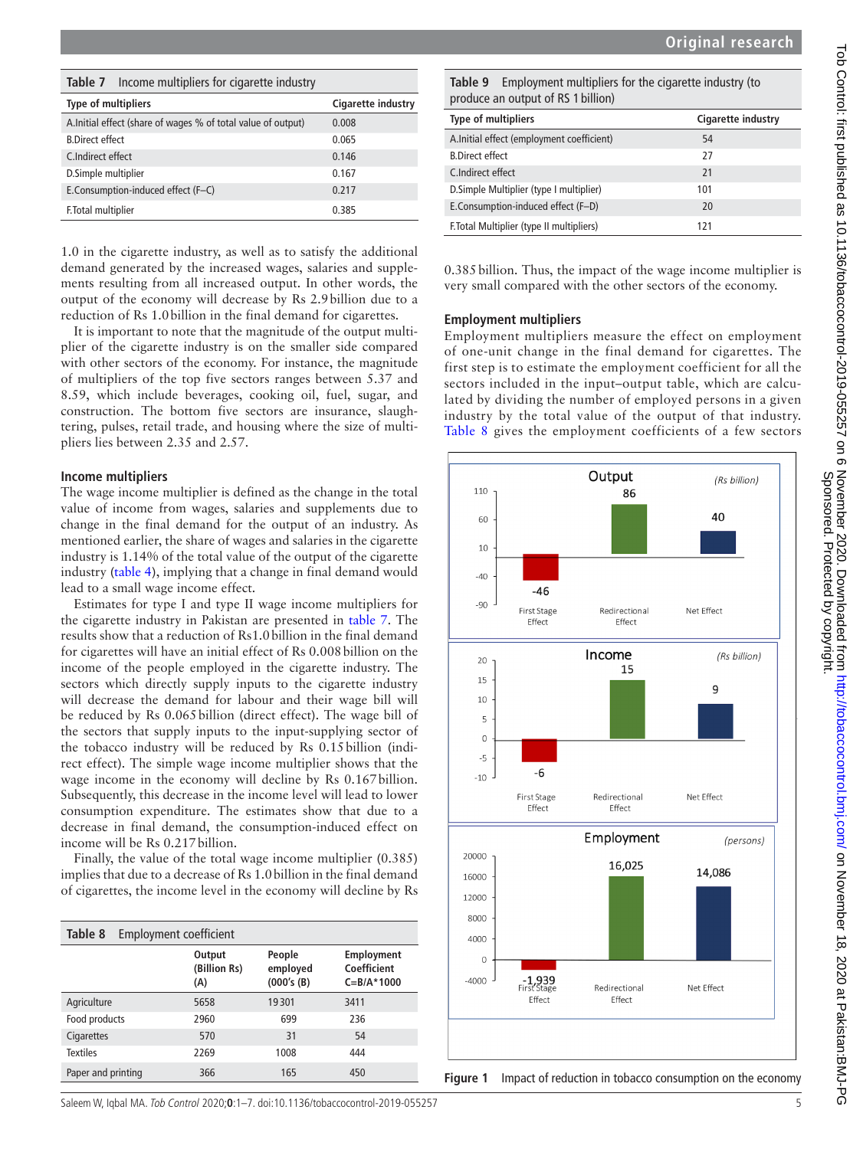<span id="page-4-0"></span>

| Income multipliers for cigarette industry<br>Table 7         |                    |
|--------------------------------------------------------------|--------------------|
| <b>Type of multipliers</b>                                   | Cigarette industry |
| A.Initial effect (share of wages % of total value of output) | 0.008              |
| <b>B.Direct effect</b>                                       | 0.065              |
| C.Indirect effect                                            | 0.146              |
| D.Simple multiplier                                          | 0.167              |
| E.Consumption-induced effect (F-C)                           | 0.217              |
| F. Total multiplier                                          | 0.385              |

1.0 in the cigarette industry, as well as to satisfy the additional demand generated by the increased wages, salaries and supplements resulting from all increased output. In other words, the output of the economy will decrease by Rs 2.9billion due to a reduction of Rs 1.0billion in the final demand for cigarettes.

It is important to note that the magnitude of the output multiplier of the cigarette industry is on the smaller side compared with other sectors of the economy. For instance, the magnitude of multipliers of the top five sectors ranges between 5.37 and 8.59, which include beverages, cooking oil, fuel, sugar, and construction. The bottom five sectors are insurance, slaughtering, pulses, retail trade, and housing where the size of multipliers lies between 2.35 and 2.57.

#### **Income multipliers**

The wage income multiplier is defined as the change in the total value of income from wages, salaries and supplements due to change in the final demand for the output of an industry. As mentioned earlier, the share of wages and salaries in the cigarette industry is 1.14% of the total value of the output of the cigarette industry ([table](#page-2-0) 4), implying that a change in final demand would lead to a small wage income effect.

Estimates for type I and type II wage income multipliers for the cigarette industry in Pakistan are presented in [table](#page-4-0) 7. The results show that a reduction of Rs1.0billion in the final demand for cigarettes will have an initial effect of Rs 0.008 billion on the income of the people employed in the cigarette industry. The sectors which directly supply inputs to the cigarette industry will decrease the demand for labour and their wage bill will be reduced by Rs 0.065billion (direct effect). The wage bill of the sectors that supply inputs to the input-supplying sector of the tobacco industry will be reduced by Rs 0.15billion (indirect effect). The simple wage income multiplier shows that the wage income in the economy will decline by Rs 0.167billion. Subsequently, this decrease in the income level will lead to lower consumption expenditure. The estimates show that due to a decrease in final demand, the consumption-induced effect on income will be Rs 0.217billion.

Finally, the value of the total wage income multiplier (0.385) implies that due to a decrease of Rs 1.0billion in the final demand of cigarettes, the income level in the economy will decline by Rs

<span id="page-4-1"></span>

| Table 8<br>Employment coefficient |                               |                                  |                                                     |
|-----------------------------------|-------------------------------|----------------------------------|-----------------------------------------------------|
|                                   | Output<br>(Billion Rs)<br>(A) | People<br>employed<br>(000's(B)) | <b>Employment</b><br>Coefficient<br>$C = B/A$ *1000 |
| Agriculture                       | 5658                          | 19301                            | 3411                                                |
| Food products                     | 2960                          | 699                              | 236                                                 |
| Cigarettes                        | 570                           | 31                               | 54                                                  |
| <b>Textiles</b>                   | 2269                          | 1008                             | 444                                                 |
| Paper and printing                | 366                           | 165                              | 450                                                 |

<span id="page-4-2"></span>**Table 9** Employment multipliers for the cigarette industry (to produce an output of RS 1 billion)

| <b>Type of multipliers</b>                | Cigarette industry |
|-------------------------------------------|--------------------|
| A.Initial effect (employment coefficient) | 54                 |
| <b>B.Direct effect</b>                    | 27                 |
| C.Indirect effect                         | 21                 |
| D. Simple Multiplier (type I multiplier)  | 101                |
| E.Consumption-induced effect (F-D)        | 20                 |
| F. Total Multiplier (type II multipliers) | 171                |

0.385billion. Thus, the impact of the wage income multiplier is very small compared with the other sectors of the economy.

#### **Employment multipliers**

Employment multipliers measure the effect on employment of one-unit change in the final demand for cigarettes. The first step is to estimate the employment coefficient for all the sectors included in the input–output table, which are calculated by dividing the number of employed persons in a given industry by the total value of the output of that industry. [Table](#page-4-1) 8 gives the employment coefficients of a few sectors



<span id="page-4-3"></span>

Saleem W, Iqbal MA. Tob Control 2020;**0**:1–7. doi:10.1136/tobaccocontrol-2019-055257 5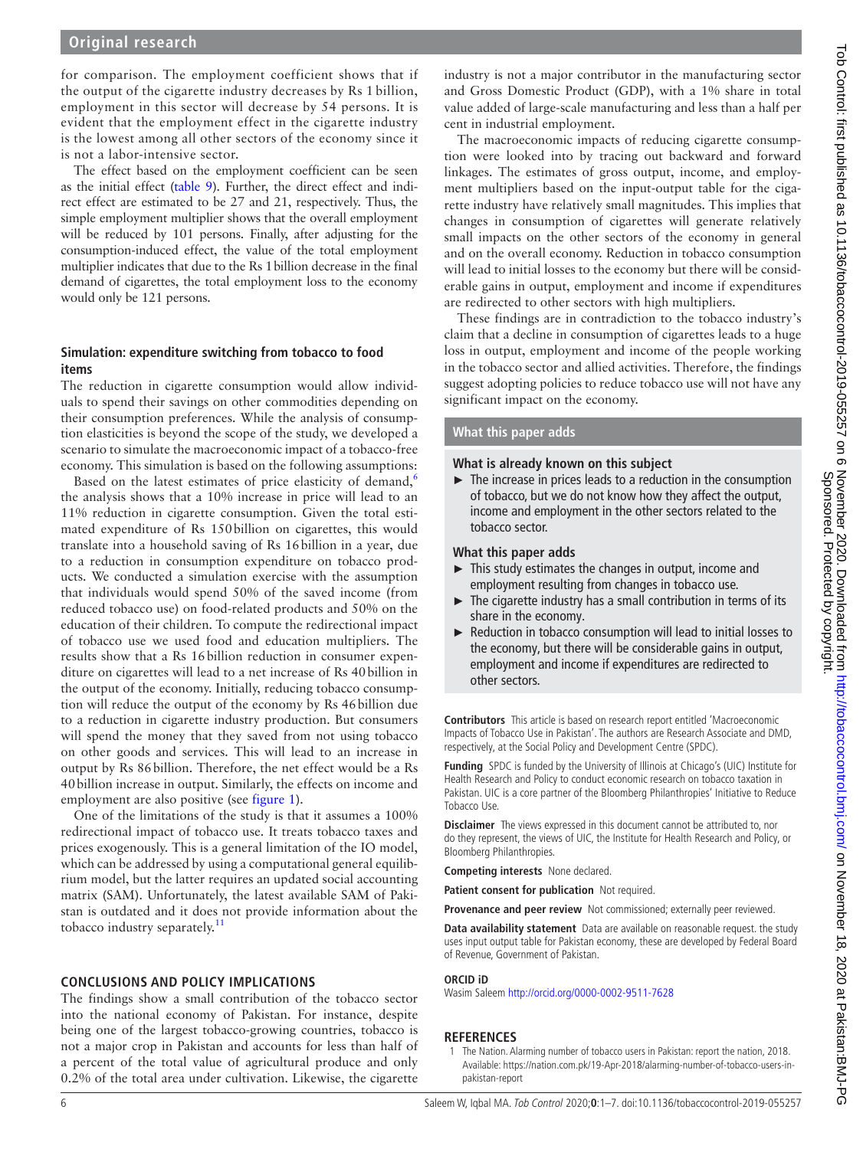# **Original research**

for comparison. The employment coefficient shows that if the output of the cigarette industry decreases by Rs 1 billion, employment in this sector will decrease by 54 persons. It is evident that the employment effect in the cigarette industry is the lowest among all other sectors of the economy since it is not a labor-intensive sector.

The effect based on the employment coefficient can be seen as the initial effect [\(table](#page-4-2) 9). Further, the direct effect and indirect effect are estimated to be 27 and 21, respectively. Thus, the simple employment multiplier shows that the overall employment will be reduced by 101 persons. Finally, after adjusting for the consumption-induced effect, the value of the total employment multiplier indicates that due to the Rs 1billion decrease in the final demand of cigarettes, the total employment loss to the economy would only be 121 persons.

# **Simulation: expenditure switching from tobacco to food items**

The reduction in cigarette consumption would allow individuals to spend their savings on other commodities depending on their consumption preferences. While the analysis of consumption elasticities is beyond the scope of the study, we developed a scenario to simulate the macroeconomic impact of a tobacco-free economy. This simulation is based on the following assumptions:

Based on the latest estimates of price elasticity of demand,<sup>[6](#page-6-4)</sup> the analysis shows that a 10% increase in price will lead to an 11% reduction in cigarette consumption. Given the total estimated expenditure of Rs 150billion on cigarettes, this would translate into a household saving of Rs 16billion in a year, due to a reduction in consumption expenditure on tobacco products. We conducted a simulation exercise with the assumption that individuals would spend 50% of the saved income (from reduced tobacco use) on food-related products and 50% on the education of their children. To compute the redirectional impact of tobacco use we used food and education multipliers. The results show that a Rs 16billion reduction in consumer expenditure on cigarettes will lead to a net increase of Rs 40billion in the output of the economy. Initially, reducing tobacco consumption will reduce the output of the economy by Rs 46billion due to a reduction in cigarette industry production. But consumers will spend the money that they saved from not using tobacco on other goods and services. This will lead to an increase in output by Rs 86billion. Therefore, the net effect would be a Rs 40billion increase in output. Similarly, the effects on income and employment are also positive (see [figure](#page-4-3) 1).

One of the limitations of the study is that it assumes a 100% redirectional impact of tobacco use. It treats tobacco taxes and prices exogenously. This is a general limitation of the IO model, which can be addressed by using a computational general equilibrium model, but the latter requires an updated social accounting matrix (SAM). Unfortunately, the latest available SAM of Pakistan is outdated and it does not provide information about the tobacco industry separately.<sup>[11](#page-6-5)</sup>

#### **CONCLUSIONS AND POLICY IMPLICATIONS**

The findings show a small contribution of the tobacco sector into the national economy of Pakistan. For instance, despite being one of the largest tobacco-growing countries, tobacco is not a major crop in Pakistan and accounts for less than half of a percent of the total value of agricultural produce and only 0.2% of the total area under cultivation. Likewise, the cigarette

industry is not a major contributor in the manufacturing sector and Gross Domestic Product (GDP), with a 1% share in total value added of large-scale manufacturing and less than a half per cent in industrial employment.

The macroeconomic impacts of reducing cigarette consumption were looked into by tracing out backward and forward linkages. The estimates of gross output, income, and employment multipliers based on the input-output table for the cigarette industry have relatively small magnitudes. This implies that changes in consumption of cigarettes will generate relatively small impacts on the other sectors of the economy in general and on the overall economy. Reduction in tobacco consumption will lead to initial losses to the economy but there will be considerable gains in output, employment and income if expenditures are redirected to other sectors with high multipliers.

These findings are in contradiction to the tobacco industry's claim that a decline in consumption of cigarettes leads to a huge loss in output, employment and income of the people working in the tobacco sector and allied activities. Therefore, the findings suggest adopting policies to reduce tobacco use will not have any significant impact on the economy.

### **What this paper adds**

# **What is already known on this subject**

► The increase in prices leads to a reduction in the consumption of tobacco, but we do not know how they affect the output, income and employment in the other sectors related to the tobacco sector.

#### **What this paper adds**

- ► This study estimates the changes in output, income and employment resulting from changes in tobacco use.
- ► The cigarette industry has a small contribution in terms of its share in the economy.
- ► Reduction in tobacco consumption will lead to initial losses to the economy, but there will be considerable gains in output, employment and income if expenditures are redirected to other sectors.

**Contributors** This article is based on research report entitled 'Macroeconomic Impacts of Tobacco Use in Pakistan'. The authors are Research Associate and DMD, respectively, at the Social Policy and Development Centre (SPDC).

**Funding** SPDC is funded by the University of Illinois at Chicago's (UIC) Institute for Health Research and Policy to conduct economic research on tobacco taxation in Pakistan. UIC is a core partner of the Bloomberg Philanthropies' Initiative to Reduce Tobacco Use.

**Disclaimer** The views expressed in this document cannot be attributed to, nor do they represent, the views of UIC, the Institute for Health Research and Policy, or Bloomberg Philanthropies.

**Competing interests** None declared.

**Patient consent for publication** Not required.

**Provenance and peer review** Not commissioned; externally peer reviewed.

**Data availability statement** Data are available on reasonable request. the study uses input output table for Pakistan economy, these are developed by Federal Board of Revenue, Government of Pakistan.

#### **ORCID iD**

Wasim Saleem <http://orcid.org/0000-0002-9511-7628>

#### **REFERENCES**

<span id="page-5-0"></span>1 The Nation. Alarming number of tobacco users in Pakistan: report the nation, 2018. Available: [https://nation.com.pk/19-Apr-2018/alarming-number-of-tobacco-users-in](https://nation.com.pk/19-Apr-2018/alarming-number-of-tobacco-users-in-pakistan-report)[pakistan-report](https://nation.com.pk/19-Apr-2018/alarming-number-of-tobacco-users-in-pakistan-report)